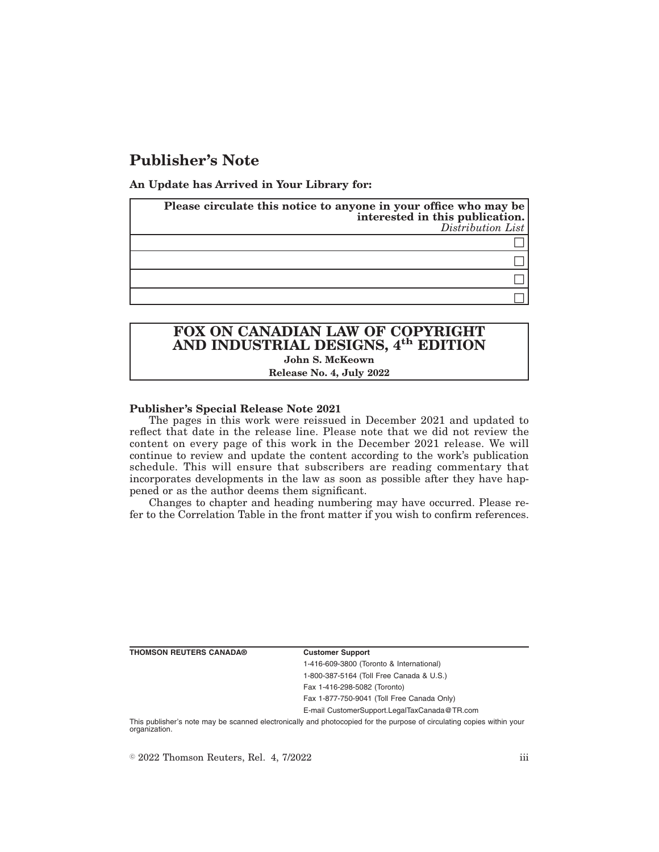# **Publisher's Note**

**An Update has Arrived in Your Library for:**

| Please circulate this notice to anyone in your office who may be<br>interested in this publication.<br>Distribution List |
|--------------------------------------------------------------------------------------------------------------------------|
|                                                                                                                          |
|                                                                                                                          |
|                                                                                                                          |
|                                                                                                                          |

## **FOX ON CANADIAN LAW OF COPYRIGHT AND INDUSTRIAL DESIGNS, 4th EDITION John S. McKeown Release No. 4, July 2022**

### **Publisher's Special Release Note 2021**

The pages in this work were reissued in December 2021 and updated to reflect that date in the release line. Please note that we did not review the content on every page of this work in the December 2021 release. We will continue to review and update the content according to the work's publication schedule. This will ensure that subscribers are reading commentary that incorporates developments in the law as soon as possible after they have happened or as the author deems them significant.

Changes to chapter and heading numbering may have occurred. Please refer to the Correlation Table in the front matter if you wish to confirm references.

**THOMSON REUTERS CANADA® Customer Support**

1-416-609-3800 (Toronto & International) 1-800-387-5164 (Toll Free Canada & U.S.)

Fax 1-416-298-5082 (Toronto) Fax 1-877-750-9041 (Toll Free Canada Only)

E-mail CustomerSupport.LegalTaxCanada@TR.com

This publisher's note may be scanned electronically and photocopied for the purpose of circulating copies within your organization.

 $\degree$  2022 Thomson Reuters, Rel. 4, 7/2022 iii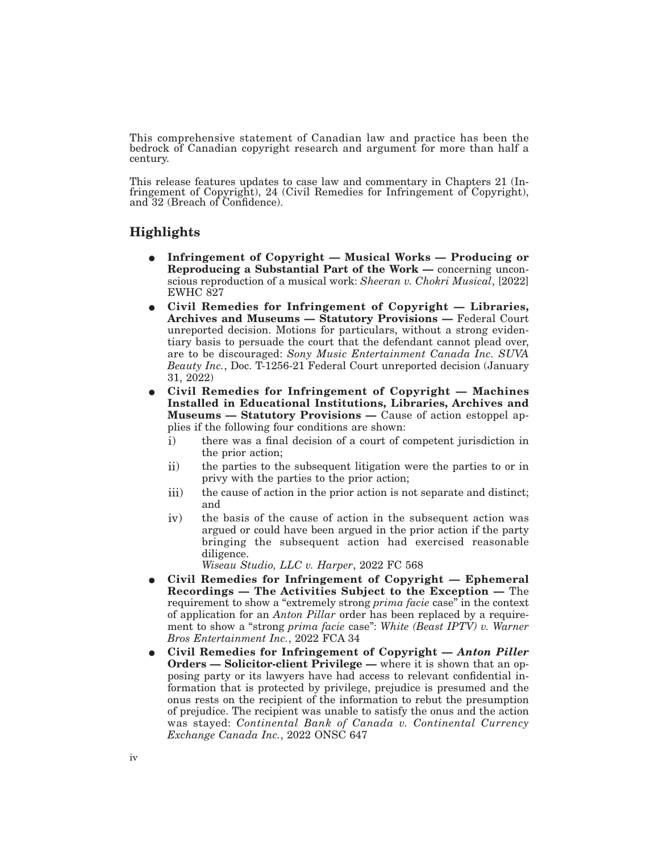This comprehensive statement of Canadian law and practice has been the bedrock of Canadian copyright research and argument for more than half a century.

This release features updates to case law and commentary in Chapters 21 (Infringement of Copyright), 24 (Civil Remedies for Infringement of Copyright), and 32 (Breach of Confidence).

# **Highlights**

- E **Infringement of Copyright Musical Works Producing or Reproducing a Substantial Part of the Work —** concerning unconscious reproduction of a musical work: *Sheeran v. Chokri Musical*, [2022] EWHC 827
- E **Civil Remedies for Infringement of Copyright Libraries, Archives and Museums — Statutory Provisions —** Federal Court unreported decision. Motions for particulars, without a strong evidentiary basis to persuade the court that the defendant cannot plead over, are to be discouraged: *Sony Music Entertainment Canada Inc. SUVA Beauty Inc.*, Doc. T-1256-21 Federal Court unreported decision (January 31, 2022)
- E **Civil Remedies for Infringement of Copyright Machines Installed in Educational Institutions, Libraries, Archives and Museums — Statutory Provisions —** Cause of action estoppel applies if the following four conditions are shown:
	- i) there was a final decision of a court of competent jurisdiction in the prior action;
	- ii) the parties to the subsequent litigation were the parties to or in privy with the parties to the prior action;
	- iii) the cause of action in the prior action is not separate and distinct; and
	- iv) the basis of the cause of action in the subsequent action was argued or could have been argued in the prior action if the party bringing the subsequent action had exercised reasonable diligence.

*Wiseau Studio, LLC v. Harper*, 2022 FC 568

- E **Civil Remedies for Infringement of Copyright Ephemeral Recordings — The Activities Subject to the Exception —** The requirement to show a "extremely strong *prima facie* case" in the context of application for an *Anton Pillar* order has been replaced by a requirement to show a "strong *prima facie* case": *White (Beast IPTV) v. Warner Bros Entertainment Inc.*, 2022 FCA 34
- E **Civil Remedies for Infringement of Copyright —** *Anton Piller* **Orders — Solicitor-client Privilege —** where it is shown that an opposing party or its lawyers have had access to relevant confidential information that is protected by privilege, prejudice is presumed and the onus rests on the recipient of the information to rebut the presumption of prejudice. The recipient was unable to satisfy the onus and the action was stayed: *Continental Bank of Canada v. Continental Currency Exchange Canada Inc.*, 2022 ONSC 647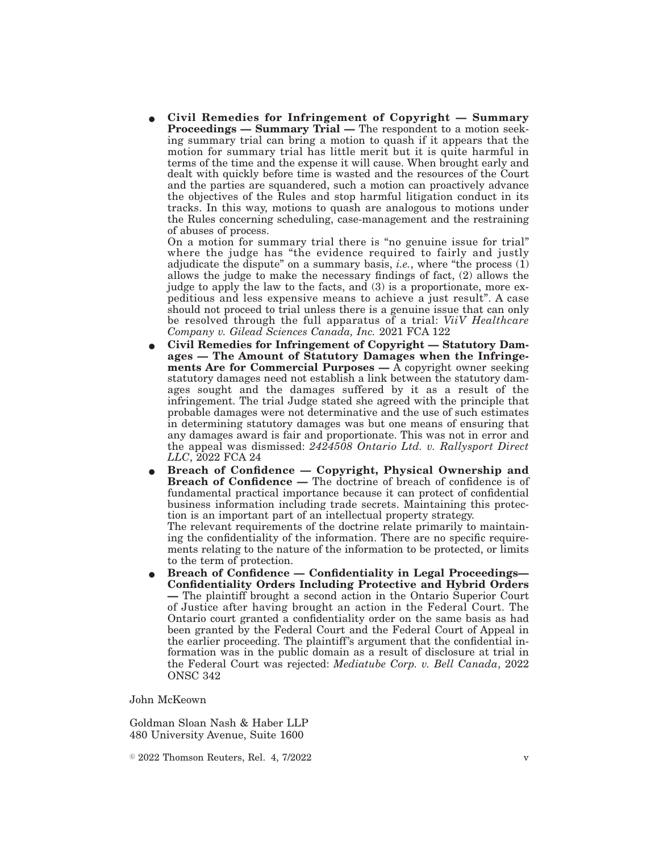E **Civil Remedies for Infringement of Copyright — Summary Proceedings — Summary Trial —** The respondent to a motion seeking summary trial can bring a motion to quash if it appears that the motion for summary trial has little merit but it is quite harmful in terms of the time and the expense it will cause. When brought early and dealt with quickly before time is wasted and the resources of the Court and the parties are squandered, such a motion can proactively advance the objectives of the Rules and stop harmful litigation conduct in its tracks. In this way, motions to quash are analogous to motions under the Rules concerning scheduling, case-management and the restraining of abuses of process.

On a motion for summary trial there is "no genuine issue for trial" where the judge has "the evidence required to fairly and justly adjudicate the dispute" on a summary basis, *i.e.*, where "the process (1) allows the judge to make the necessary findings of fact, (2) allows the judge to apply the law to the facts, and (3) is a proportionate, more expeditious and less expensive means to achieve a just result". A case should not proceed to trial unless there is a genuine issue that can only be resolved through the full apparatus of a trial: *ViiV Healthcare Company v. Gilead Sciences Canada, Inc.* 2021 FCA 122

- E **Civil Remedies for Infringement of Copyright Statutory Damages — The Amount of Statutory Damages when the Infringements Are for Commercial Purposes —** A copyright owner seeking statutory damages need not establish a link between the statutory damages sought and the damages suffered by it as a result of the infringement. The trial Judge stated she agreed with the principle that probable damages were not determinative and the use of such estimates in determining statutory damages was but one means of ensuring that any damages award is fair and proportionate. This was not in error and the appeal was dismissed: *2424508 Ontario Ltd. v. Rallysport Direct LLC*, 2022 FCA 24
- E **Breach of Confidence Copyright, Physical Ownership and Breach of Confidence —** The doctrine of breach of confidence is of fundamental practical importance because it can protect of confidential business information including trade secrets. Maintaining this protection is an important part of an intellectual property strategy. The relevant requirements of the doctrine relate primarily to maintain-

ing the confidentiality of the information. There are no specific requirements relating to the nature of the information to be protected, or limits to the term of protection.

E **Breach of Confidence — Confidentiality in Legal Proceedings— Confidentiality Orders Including Protective and Hybrid Orders —** The plaintiff brought a second action in the Ontario Superior Court of Justice after having brought an action in the Federal Court. The Ontario court granted a confidentiality order on the same basis as had been granted by the Federal Court and the Federal Court of Appeal in the earlier proceeding. The plaintiff's argument that the confidential information was in the public domain as a result of disclosure at trial in the Federal Court was rejected: *Mediatube Corp. v. Bell Canada*, 2022 ONSC 342

### John McKeown

Goldman Sloan Nash & Haber LLP 480 University Avenue, Suite 1600

 $\degree$  2022 Thomson Reuters, Rel. 4, 7/2022 v